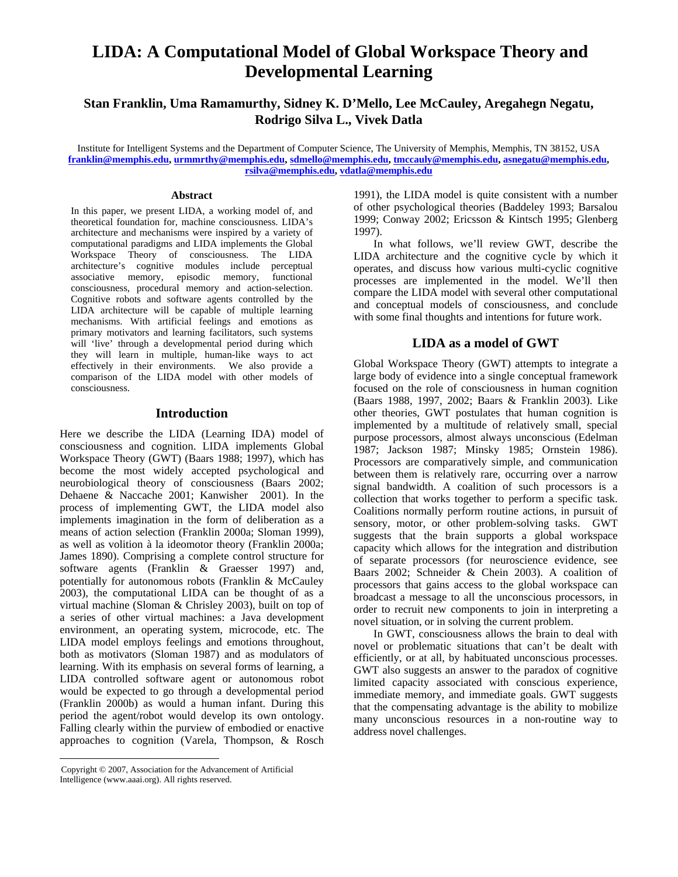# **LIDA: A Computational Model of Global Workspace Theory and Developmental Learning**

**Stan Franklin, Uma Ramamurthy, Sidney K. D'Mello, Lee McCauley, Aregahegn Negatu, Rodrigo Silva L., Vivek Datla** 

Institute for Intelligent Systems and the Department of Computer Science, The University of Memphis, Memphis, TN 38152, USA **franklin@memphis.edu, urmmrthy@memphis.edu, sdmello@memphis.edu, tmccauly@memphis.edu, asnegatu@memphis.edu, rsilva@memphis.edu, vdatla@memphis.edu**

#### **Abstract**

In this paper, we present LIDA, a working model of, and theoretical foundation for, machine consciousness. LIDA's architecture and mechanisms were inspired by a variety of computational paradigms and LIDA implements the Global Workspace Theory of consciousness. The LIDA architecture's cognitive modules include perceptual associative memory, episodic memory, functional consciousness, procedural memory and action-selection. Cognitive robots and software agents controlled by the LIDA architecture will be capable of multiple learning mechanisms. With artificial feelings and emotions as primary motivators and learning facilitators, such systems will 'live' through a developmental period during which they will learn in multiple, human-like ways to act effectively in their environments. We also provide a comparison of the LIDA model with other models of consciousness.

#### **Introduction**

Here we describe the LIDA (Learning IDA) model of consciousness and cognition. LIDA implements Global Workspace Theory (GWT) (Baars 1988; 1997), which has become the most widely accepted psychological and neurobiological theory of consciousness (Baars 2002; Dehaene & Naccache 2001; Kanwisher 2001). In the process of implementing GWT, the LIDA model also implements imagination in the form of deliberation as a means of action selection (Franklin 2000a; Sloman 1999), as well as volition à la ideomotor theory (Franklin 2000a; James 1890). Comprising a complete control structure for software agents (Franklin & Graesser 1997) and, potentially for autonomous robots (Franklin & McCauley 2003), the computational LIDA can be thought of as a virtual machine (Sloman & Chrisley 2003), built on top of a series of other virtual machines: a Java development environment, an operating system, microcode, etc. The LIDA model employs feelings and emotions throughout, both as motivators (Sloman 1987) and as modulators of learning. With its emphasis on several forms of learning, a LIDA controlled software agent or autonomous robot would be expected to go through a developmental period (Franklin 2000b) as would a human infant. During this period the agent/robot would develop its own ontology. Falling clearly within the purview of embodied or enactive approaches to cognition (Varela, Thompson, & Rosch

 $\overline{a}$ 

1991), the LIDA model is quite consistent with a number of other psychological theories (Baddeley 1993; Barsalou 1999; Conway 2002; Ericsson & Kintsch 1995; Glenberg 1997).

In what follows, we'll review GWT, describe the LIDA architecture and the cognitive cycle by which it operates, and discuss how various multi-cyclic cognitive processes are implemented in the model. We'll then compare the LIDA model with several other computational and conceptual models of consciousness, and conclude with some final thoughts and intentions for future work.

#### **LIDA as a model of GWT**

Global Workspace Theory (GWT) attempts to integrate a large body of evidence into a single conceptual framework focused on the role of consciousness in human cognition (Baars 1988, 1997, 2002; Baars & Franklin 2003). Like other theories, GWT postulates that human cognition is implemented by a multitude of relatively small, special purpose processors, almost always unconscious (Edelman 1987; Jackson 1987; Minsky 1985; Ornstein 1986). Processors are comparatively simple, and communication between them is relatively rare, occurring over a narrow signal bandwidth. A coalition of such processors is a collection that works together to perform a specific task. Coalitions normally perform routine actions, in pursuit of sensory, motor, or other problem-solving tasks. GWT suggests that the brain supports a global workspace capacity which allows for the integration and distribution of separate processors (for neuroscience evidence, see Baars 2002; Schneider & Chein 2003). A coalition of processors that gains access to the global workspace can broadcast a message to all the unconscious processors, in order to recruit new components to join in interpreting a novel situation, or in solving the current problem.

In GWT, consciousness allows the brain to deal with novel or problematic situations that can't be dealt with efficiently, or at all, by habituated unconscious processes. GWT also suggests an answer to the paradox of cognitive limited capacity associated with conscious experience, immediate memory, and immediate goals. GWT suggests that the compensating advantage is the ability to mobilize many unconscious resources in a non-routine way to address novel challenges.

Copyright © 2007, Association for the Advancement of Artificial Intelligence (www.aaai.org). All rights reserved.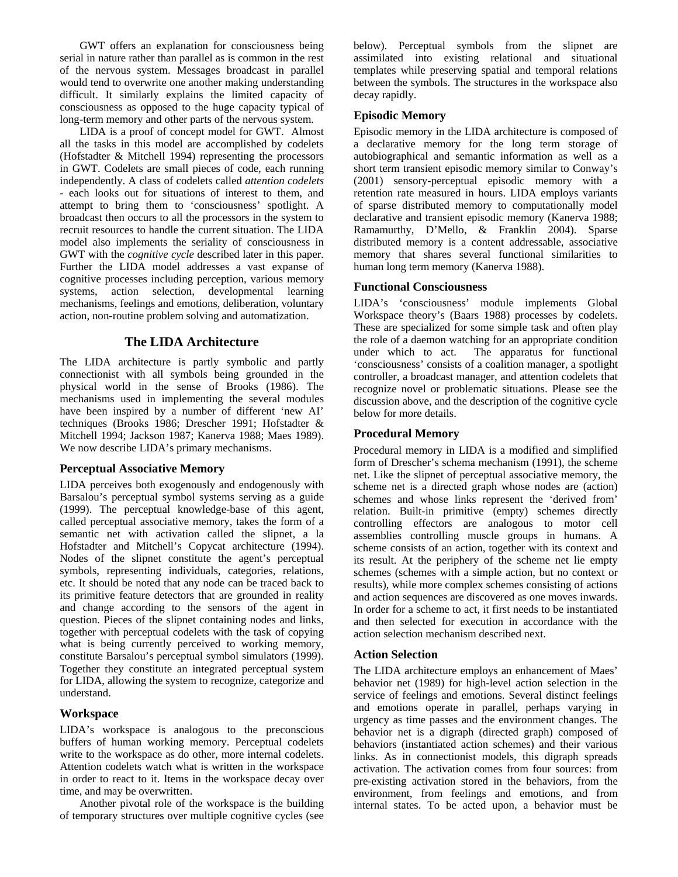GWT offers an explanation for consciousness being serial in nature rather than parallel as is common in the rest of the nervous system. Messages broadcast in parallel would tend to overwrite one another making understanding difficult. It similarly explains the limited capacity of consciousness as opposed to the huge capacity typical of long-term memory and other parts of the nervous system.

LIDA is a proof of concept model for GWT. Almost all the tasks in this model are accomplished by codelets (Hofstadter & Mitchell 1994) representing the processors in GWT. Codelets are small pieces of code, each running independently. A class of codelets called *attention codelets* - each looks out for situations of interest to them, and attempt to bring them to 'consciousness' spotlight. A broadcast then occurs to all the processors in the system to recruit resources to handle the current situation. The LIDA model also implements the seriality of consciousness in GWT with the *cognitive cycle* described later in this paper. Further the LIDA model addresses a vast expanse of cognitive processes including perception, various memory systems, action selection, developmental learning mechanisms, feelings and emotions, deliberation, voluntary action, non-routine problem solving and automatization.

# **The LIDA Architecture**

The LIDA architecture is partly symbolic and partly connectionist with all symbols being grounded in the physical world in the sense of Brooks (1986). The mechanisms used in implementing the several modules have been inspired by a number of different 'new AI' techniques (Brooks 1986; Drescher 1991; Hofstadter & Mitchell 1994; Jackson 1987; Kanerva 1988; Maes 1989). We now describe LIDA's primary mechanisms.

### **Perceptual Associative Memory**

LIDA perceives both exogenously and endogenously with Barsalou's perceptual symbol systems serving as a guide (1999). The perceptual knowledge-base of this agent, called perceptual associative memory, takes the form of a semantic net with activation called the slipnet, a la Hofstadter and Mitchell's Copycat architecture (1994). Nodes of the slipnet constitute the agent's perceptual symbols, representing individuals, categories, relations, etc. It should be noted that any node can be traced back to its primitive feature detectors that are grounded in reality and change according to the sensors of the agent in question. Pieces of the slipnet containing nodes and links, together with perceptual codelets with the task of copying what is being currently perceived to working memory, constitute Barsalou's perceptual symbol simulators (1999). Together they constitute an integrated perceptual system for LIDA, allowing the system to recognize, categorize and understand.

### **Workspace**

LIDA's workspace is analogous to the preconscious buffers of human working memory. Perceptual codelets write to the workspace as do other, more internal codelets. Attention codelets watch what is written in the workspace in order to react to it. Items in the workspace decay over time, and may be overwritten.

Another pivotal role of the workspace is the building of temporary structures over multiple cognitive cycles (see below). Perceptual symbols from the slipnet are assimilated into existing relational and situational templates while preserving spatial and temporal relations between the symbols. The structures in the workspace also decay rapidly.

# **Episodic Memory**

Episodic memory in the LIDA architecture is composed of a declarative memory for the long term storage of autobiographical and semantic information as well as a short term transient episodic memory similar to Conway's (2001) sensory-perceptual episodic memory with a retention rate measured in hours. LIDA employs variants of sparse distributed memory to computationally model declarative and transient episodic memory (Kanerva 1988; Ramamurthy, D'Mello, & Franklin 2004). Sparse distributed memory is a content addressable, associative memory that shares several functional similarities to human long term memory (Kanerva 1988).

# **Functional Consciousness**

LIDA's 'consciousness' module implements Global Workspace theory's (Baars 1988) processes by codelets. These are specialized for some simple task and often play the role of a daemon watching for an appropriate condition under which to act. The apparatus for functional 'consciousness' consists of a coalition manager, a spotlight controller, a broadcast manager, and attention codelets that recognize novel or problematic situations. Please see the discussion above, and the description of the cognitive cycle below for more details.

# **Procedural Memory**

Procedural memory in LIDA is a modified and simplified form of Drescher's schema mechanism (1991), the scheme net. Like the slipnet of perceptual associative memory, the scheme net is a directed graph whose nodes are (action) schemes and whose links represent the 'derived from' relation. Built-in primitive (empty) schemes directly controlling effectors are analogous to motor cell assemblies controlling muscle groups in humans. A scheme consists of an action, together with its context and its result. At the periphery of the scheme net lie empty schemes (schemes with a simple action, but no context or results), while more complex schemes consisting of actions and action sequences are discovered as one moves inwards. In order for a scheme to act, it first needs to be instantiated and then selected for execution in accordance with the action selection mechanism described next.

# **Action Selection**

The LIDA architecture employs an enhancement of Maes' behavior net (1989) for high-level action selection in the service of feelings and emotions. Several distinct feelings and emotions operate in parallel, perhaps varying in urgency as time passes and the environment changes. The behavior net is a digraph (directed graph) composed of behaviors (instantiated action schemes) and their various links. As in connectionist models, this digraph spreads activation. The activation comes from four sources: from pre-existing activation stored in the behaviors, from the environment, from feelings and emotions, and from internal states. To be acted upon, a behavior must be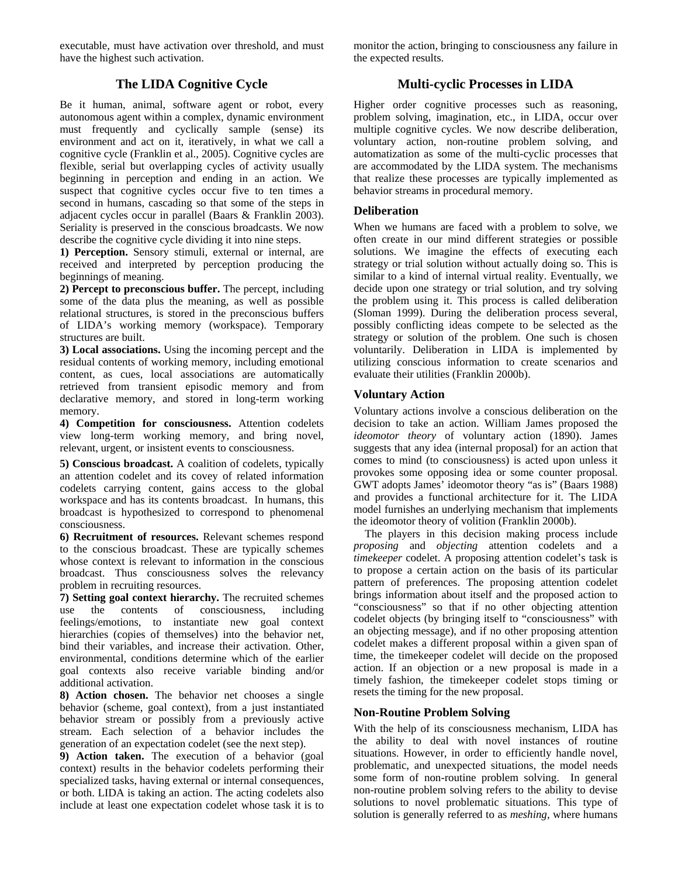executable, must have activation over threshold, and must have the highest such activation.

# **The LIDA Cognitive Cycle**

Be it human, animal, software agent or robot, every autonomous agent within a complex, dynamic environment must frequently and cyclically sample (sense) its environment and act on it, iteratively, in what we call a cognitive cycle (Franklin et al., 2005). Cognitive cycles are flexible, serial but overlapping cycles of activity usually beginning in perception and ending in an action. We suspect that cognitive cycles occur five to ten times a second in humans, cascading so that some of the steps in adjacent cycles occur in parallel (Baars & Franklin 2003). Seriality is preserved in the conscious broadcasts. We now describe the cognitive cycle dividing it into nine steps.

**1) Perception.** Sensory stimuli, external or internal, are received and interpreted by perception producing the beginnings of meaning.

**2) Percept to preconscious buffer.** The percept, including some of the data plus the meaning, as well as possible relational structures, is stored in the preconscious buffers of LIDA's working memory (workspace). Temporary structures are built.

**3) Local associations.** Using the incoming percept and the residual contents of working memory, including emotional content, as cues, local associations are automatically retrieved from transient episodic memory and from declarative memory, and stored in long-term working memory.

**4) Competition for consciousness.** Attention codelets view long-term working memory, and bring novel, relevant, urgent, or insistent events to consciousness.

**5) Conscious broadcast.** A coalition of codelets, typically an attention codelet and its covey of related information codelets carrying content, gains access to the global workspace and has its contents broadcast. In humans, this broadcast is hypothesized to correspond to phenomenal consciousness.

**6) Recruitment of resources.** Relevant schemes respond to the conscious broadcast. These are typically schemes whose context is relevant to information in the conscious broadcast. Thus consciousness solves the relevancy problem in recruiting resources.

**7) Setting goal context hierarchy.** The recruited schemes use the contents of consciousness, including feelings/emotions, to instantiate new goal context hierarchies (copies of themselves) into the behavior net, bind their variables, and increase their activation. Other, environmental, conditions determine which of the earlier goal contexts also receive variable binding and/or additional activation.

**8) Action chosen.** The behavior net chooses a single behavior (scheme, goal context), from a just instantiated behavior stream or possibly from a previously active stream. Each selection of a behavior includes the generation of an expectation codelet (see the next step).

**9) Action taken.** The execution of a behavior (goal context) results in the behavior codelets performing their specialized tasks, having external or internal consequences, or both. LIDA is taking an action. The acting codelets also include at least one expectation codelet whose task it is to monitor the action, bringing to consciousness any failure in the expected results.

# **Multi-cyclic Processes in LIDA**

Higher order cognitive processes such as reasoning, problem solving, imagination, etc., in LIDA, occur over multiple cognitive cycles. We now describe deliberation, voluntary action, non-routine problem solving, and automatization as some of the multi-cyclic processes that are accommodated by the LIDA system. The mechanisms that realize these processes are typically implemented as behavior streams in procedural memory.

# **Deliberation**

When we humans are faced with a problem to solve, we often create in our mind different strategies or possible solutions. We imagine the effects of executing each strategy or trial solution without actually doing so. This is similar to a kind of internal virtual reality. Eventually, we decide upon one strategy or trial solution, and try solving the problem using it. This process is called deliberation (Sloman 1999). During the deliberation process several, possibly conflicting ideas compete to be selected as the strategy or solution of the problem. One such is chosen voluntarily. Deliberation in LIDA is implemented by utilizing conscious information to create scenarios and evaluate their utilities (Franklin 2000b).

# **Voluntary Action**

Voluntary actions involve a conscious deliberation on the decision to take an action. William James proposed the *ideomotor theory* of voluntary action (1890). James suggests that any idea (internal proposal) for an action that comes to mind (to consciousness) is acted upon unless it provokes some opposing idea or some counter proposal. GWT adopts James' ideomotor theory "as is" (Baars 1988) and provides a functional architecture for it. The LIDA model furnishes an underlying mechanism that implements the ideomotor theory of volition (Franklin 2000b).

The players in this decision making process include *proposing* and *objecting* attention codelets and a *timekeeper* codelet. A proposing attention codelet's task is to propose a certain action on the basis of its particular pattern of preferences. The proposing attention codelet brings information about itself and the proposed action to "consciousness" so that if no other objecting attention codelet objects (by bringing itself to "consciousness" with an objecting message), and if no other proposing attention codelet makes a different proposal within a given span of time, the timekeeper codelet will decide on the proposed action. If an objection or a new proposal is made in a timely fashion, the timekeeper codelet stops timing or resets the timing for the new proposal.

### **Non-Routine Problem Solving**

With the help of its consciousness mechanism, LIDA has the ability to deal with novel instances of routine situations. However, in order to efficiently handle novel, problematic, and unexpected situations, the model needs some form of non-routine problem solving. In general non-routine problem solving refers to the ability to devise solutions to novel problematic situations. This type of solution is generally referred to as *meshing*, where humans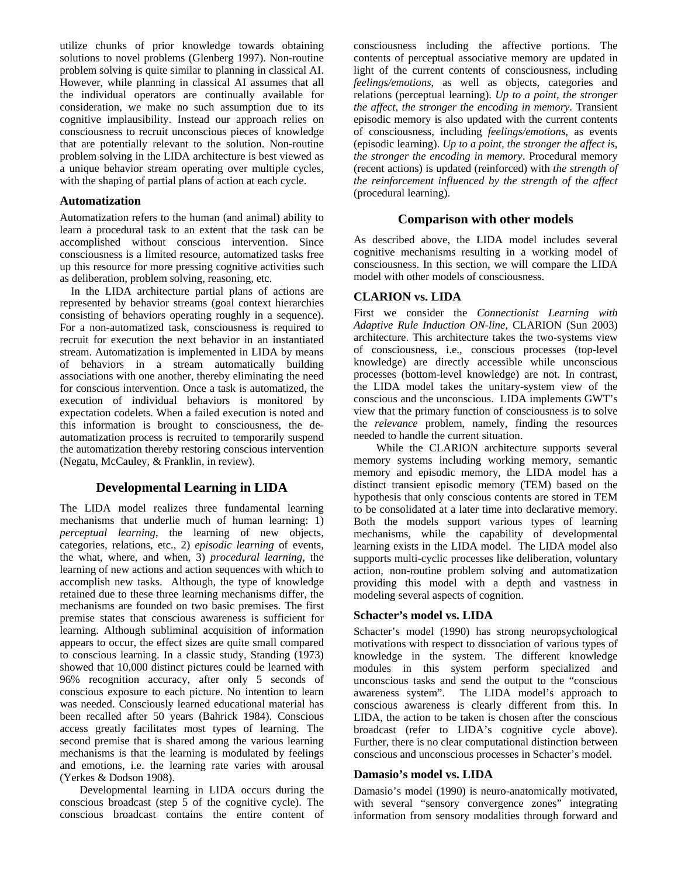utilize chunks of prior knowledge towards obtaining solutions to novel problems (Glenberg 1997). Non-routine problem solving is quite similar to planning in classical AI. However, while planning in classical AI assumes that all the individual operators are continually available for consideration, we make no such assumption due to its cognitive implausibility. Instead our approach relies on consciousness to recruit unconscious pieces of knowledge that are potentially relevant to the solution. Non-routine problem solving in the LIDA architecture is best viewed as a unique behavior stream operating over multiple cycles, with the shaping of partial plans of action at each cycle.

#### **Automatization**

Automatization refers to the human (and animal) ability to learn a procedural task to an extent that the task can be accomplished without conscious intervention. Since consciousness is a limited resource, automatized tasks free up this resource for more pressing cognitive activities such as deliberation, problem solving, reasoning, etc.

In the LIDA architecture partial plans of actions are represented by behavior streams (goal context hierarchies consisting of behaviors operating roughly in a sequence). For a non-automatized task, consciousness is required to recruit for execution the next behavior in an instantiated stream. Automatization is implemented in LIDA by means of behaviors in a stream automatically building associations with one another, thereby eliminating the need for conscious intervention. Once a task is automatized, the execution of individual behaviors is monitored by expectation codelets. When a failed execution is noted and this information is brought to consciousness, the deautomatization process is recruited to temporarily suspend the automatization thereby restoring conscious intervention (Negatu, McCauley, & Franklin, in review).

# **Developmental Learning in LIDA**

The LIDA model realizes three fundamental learning mechanisms that underlie much of human learning: 1) *perceptual learning*, the learning of new objects, categories, relations, etc., 2) *episodic learning* of events, the what, where, and when, 3) *procedural learning*, the learning of new actions and action sequences with which to accomplish new tasks. Although, the type of knowledge retained due to these three learning mechanisms differ, the mechanisms are founded on two basic premises. The first premise states that conscious awareness is sufficient for learning. Although subliminal acquisition of information appears to occur, the effect sizes are quite small compared to conscious learning. In a classic study, Standing (1973) showed that 10,000 distinct pictures could be learned with 96% recognition accuracy, after only 5 seconds of conscious exposure to each picture. No intention to learn was needed. Consciously learned educational material has been recalled after 50 years (Bahrick 1984). Conscious access greatly facilitates most types of learning. The second premise that is shared among the various learning mechanisms is that the learning is modulated by feelings and emotions, i.e. the learning rate varies with arousal (Yerkes & Dodson 1908).

Developmental learning in LIDA occurs during the conscious broadcast (step 5 of the cognitive cycle). The conscious broadcast contains the entire content of consciousness including the affective portions. The contents of perceptual associative memory are updated in light of the current contents of consciousness, including *feelings/emotions*, as well as objects, categories and relations (perceptual learning). *Up to a point, the stronger the affect, the stronger the encoding in memory*. Transient episodic memory is also updated with the current contents of consciousness, including *feelings/emotions*, as events (episodic learning). *Up to a point, the stronger the affect is, the stronger the encoding in memory*. Procedural memory (recent actions) is updated (reinforced) with *the strength of the reinforcement influenced by the strength of the affect*  (procedural learning).

# **Comparison with other models**

As described above, the LIDA model includes several cognitive mechanisms resulting in a working model of consciousness. In this section, we will compare the LIDA model with other models of consciousness.

# **CLARION vs. LIDA**

First we consider the *Connectionist Learning with Adaptive Rule Induction ON-line,* CLARION (Sun 2003) architecture. This architecture takes the two-systems view of consciousness, i.e., conscious processes (top-level knowledge) are directly accessible while unconscious processes (bottom-level knowledge) are not. In contrast, the LIDA model takes the unitary-system view of the conscious and the unconscious. LIDA implements GWT's view that the primary function of consciousness is to solve the *relevance* problem, namely, finding the resources needed to handle the current situation.

 While the CLARION architecture supports several memory systems including working memory, semantic memory and episodic memory, the LIDA model has a distinct transient episodic memory (TEM) based on the hypothesis that only conscious contents are stored in TEM to be consolidated at a later time into declarative memory. Both the models support various types of learning mechanisms, while the capability of developmental learning exists in the LIDA model. The LIDA model also supports multi-cyclic processes like deliberation, voluntary action, non-routine problem solving and automatization providing this model with a depth and vastness in modeling several aspects of cognition.

### **Schacter's model vs. LIDA**

Schacter's model (1990) has strong neuropsychological motivations with respect to dissociation of various types of knowledge in the system. The different knowledge modules in this system perform specialized and unconscious tasks and send the output to the "conscious awareness system". The LIDA model's approach to conscious awareness is clearly different from this. In LIDA, the action to be taken is chosen after the conscious broadcast (refer to LIDA's cognitive cycle above). Further, there is no clear computational distinction between conscious and unconscious processes in Schacter's model.

### **Damasio's model vs. LIDA**

Damasio's model (1990) is neuro-anatomically motivated, with several "sensory convergence zones" integrating information from sensory modalities through forward and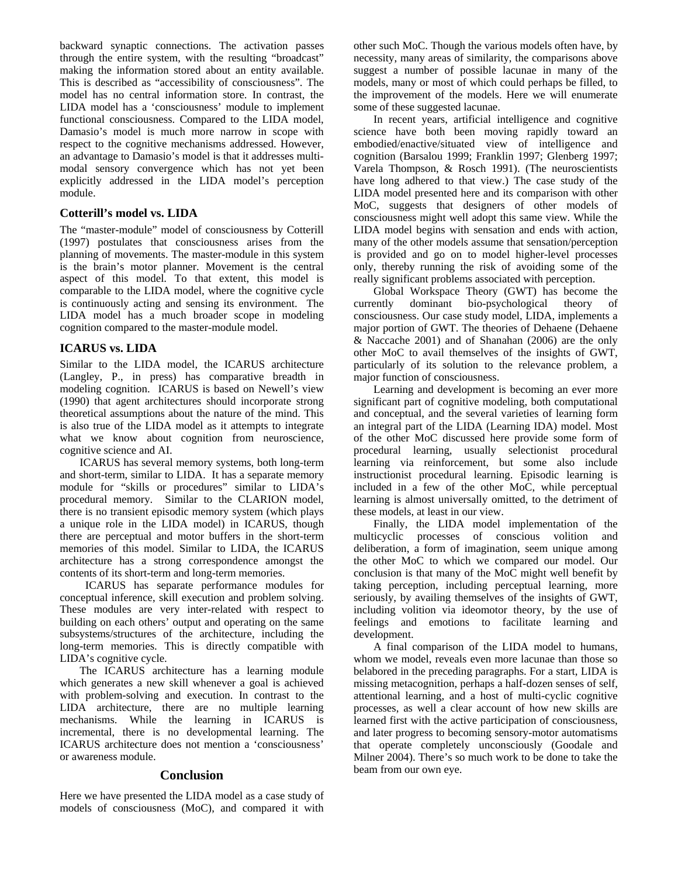backward synaptic connections. The activation passes through the entire system, with the resulting "broadcast" making the information stored about an entity available. This is described as "accessibility of consciousness". The model has no central information store. In contrast, the LIDA model has a 'consciousness' module to implement functional consciousness. Compared to the LIDA model, Damasio's model is much more narrow in scope with respect to the cognitive mechanisms addressed. However, an advantage to Damasio's model is that it addresses multimodal sensory convergence which has not yet been explicitly addressed in the LIDA model's perception module.

#### **Cotterill's model vs. LIDA**

The "master-module" model of consciousness by Cotterill (1997) postulates that consciousness arises from the planning of movements. The master-module in this system is the brain's motor planner. Movement is the central aspect of this model. To that extent, this model is comparable to the LIDA model, where the cognitive cycle is continuously acting and sensing its environment. The LIDA model has a much broader scope in modeling cognition compared to the master-module model.

# **ICARUS vs. LIDA**

Similar to the LIDA model, the ICARUS architecture (Langley, P., in press) has comparative breadth in modeling cognition. ICARUS is based on Newell's view (1990) that agent architectures should incorporate strong theoretical assumptions about the nature of the mind. This is also true of the LIDA model as it attempts to integrate what we know about cognition from neuroscience, cognitive science and AI.

ICARUS has several memory systems, both long-term and short-term, similar to LIDA. It has a separate memory module for "skills or procedures" similar to LIDA's procedural memory. Similar to the CLARION model, there is no transient episodic memory system (which plays a unique role in the LIDA model) in ICARUS, though there are perceptual and motor buffers in the short-term memories of this model. Similar to LIDA, the ICARUS architecture has a strong correspondence amongst the contents of its short-term and long-term memories.

 ICARUS has separate performance modules for conceptual inference, skill execution and problem solving. These modules are very inter-related with respect to building on each others' output and operating on the same subsystems/structures of the architecture, including the long-term memories. This is directly compatible with LIDA's cognitive cycle.

The ICARUS architecture has a learning module which generates a new skill whenever a goal is achieved with problem-solving and execution. In contrast to the LIDA architecture, there are no multiple learning mechanisms. While the learning in ICARUS is incremental, there is no developmental learning. The ICARUS architecture does not mention a 'consciousness' or awareness module.

#### **Conclusion**

Here we have presented the LIDA model as a case study of models of consciousness (MoC), and compared it with other such MoC. Though the various models often have, by necessity, many areas of similarity, the comparisons above suggest a number of possible lacunae in many of the models, many or most of which could perhaps be filled, to the improvement of the models. Here we will enumerate some of these suggested lacunae.

In recent years, artificial intelligence and cognitive science have both been moving rapidly toward an embodied/enactive/situated view of intelligence and cognition (Barsalou 1999; Franklin 1997; Glenberg 1997; Varela Thompson, & Rosch 1991). (The neuroscientists have long adhered to that view.) The case study of the LIDA model presented here and its comparison with other MoC, suggests that designers of other models of consciousness might well adopt this same view. While the LIDA model begins with sensation and ends with action, many of the other models assume that sensation/perception is provided and go on to model higher-level processes only, thereby running the risk of avoiding some of the really significant problems associated with perception.

Global Workspace Theory (GWT) has become the currently dominant bio-psychological theory of consciousness. Our case study model, LIDA, implements a major portion of GWT. The theories of Dehaene (Dehaene & Naccache 2001) and of Shanahan (2006) are the only other MoC to avail themselves of the insights of GWT, particularly of its solution to the relevance problem, a major function of consciousness.

Learning and development is becoming an ever more significant part of cognitive modeling, both computational and conceptual, and the several varieties of learning form an integral part of the LIDA (Learning IDA) model. Most of the other MoC discussed here provide some form of procedural learning, usually selectionist procedural learning via reinforcement, but some also include instructionist procedural learning. Episodic learning is included in a few of the other MoC, while perceptual learning is almost universally omitted, to the detriment of these models, at least in our view.

Finally, the LIDA model implementation of the multicyclic processes of conscious volition and deliberation, a form of imagination, seem unique among the other MoC to which we compared our model. Our conclusion is that many of the MoC might well benefit by taking perception, including perceptual learning, more seriously, by availing themselves of the insights of GWT, including volition via ideomotor theory, by the use of feelings and emotions to facilitate learning and development.

A final comparison of the LIDA model to humans, whom we model, reveals even more lacunae than those so belabored in the preceding paragraphs. For a start, LIDA is missing metacognition, perhaps a half-dozen senses of self, attentional learning, and a host of multi-cyclic cognitive processes, as well a clear account of how new skills are learned first with the active participation of consciousness, and later progress to becoming sensory-motor automatisms that operate completely unconsciously (Goodale and Milner 2004). There's so much work to be done to take the beam from our own eye.